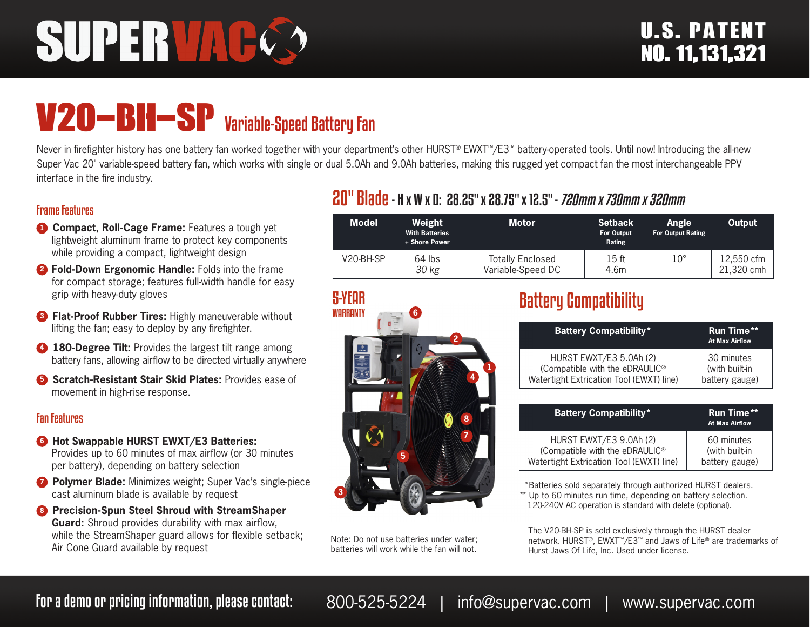# SUPERVA

## V20-BH-SP Variable-Speed Battery Fan

Never in firefighter history has one battery fan worked together with your department's other HURST® EWXT™/E3™ battery-operated tools. Until now! Introducing the all-new Super Vac 20" variable-speed battery fan, which works with single or dual 5.0Ah and 9.0Ah batteries, making this rugged yet compact fan the most interchangeable PPV interface in the fire industry.

#### Frame Features

- **1 Compact, Roll-Cage Frame:** Features a tough yet lightweight aluminum frame to protect key components while providing a compact, lightweight design
- **<sup>2</sup> Fold-Down Ergonomic Handle:** Folds into the frame for compact storage; features full-width handle for easy grip with heavy-duty gloves
- **8 Flat-Proof Rubber Tires: Highly maneuverable without** lifting the fan; easy to deploy by any firefighter.
- **4 180-Degree Tilt:** Provides the largest tilt range among battery fans, allowing airflow to be directed virtually anywhere
- **6** Scratch-Resistant Stair Skid Plates: Provides ease of movement in high-rise response.

#### Fan Features

- **6** Hot Swappable HURST EWXT/E3 Batteries: Provides up to 60 minutes of max airflow (or 30 minutes per battery), depending on battery selection
- *D* Polymer Blade: Minimizes weight; Super Vac's single-piece cast aluminum blade is available by request
- **8 Precision-Spun Steel Shroud with StreamShaper Guard:** Shroud provides durability with max airflow, while the StreamShaper guard allows for flexible setback; Air Cone Guard available by request

#### 20" Blade- H x W x D: 28.25" x 28.75" x 12.5" - *720mm x 730mm x 320mm*

| <b>Model</b> | Weight<br><b>With Batteries</b><br>+ Shore Power | <b>Motor</b>                                 | <b>Setback</b><br><b>For Output</b><br>Rating | <b>Angle</b><br><b>For Output Rating</b> | Output                   |
|--------------|--------------------------------------------------|----------------------------------------------|-----------------------------------------------|------------------------------------------|--------------------------|
| V20-BH-SP    | $64$ lbs<br>30 kg                                | <b>Totally Enclosed</b><br>Variable-Speed DC | 15 ft<br>4.6m                                 | $10^{\circ}$                             | 12.550 cfm<br>21.320 cmh |



Note: Do not use batteries under water; batteries will work while the fan will not.

### Battery Compatibility

| <b>Battery Compatibility*</b>            | <b>Run Time**</b><br><b>At Max Airflow</b> |
|------------------------------------------|--------------------------------------------|
| HURST EWXT/E3 5.0Ah (2)                  | 30 minutes                                 |
| (Compatible with the eDRAULIC®           | (with built-in                             |
| Watertight Extrication Tool (EWXT) line) | battery gauge)                             |

| <b>Battery Compatibility*</b>              | <b>Run Time**</b><br><b>At Max Airflow</b> |  |
|--------------------------------------------|--------------------------------------------|--|
| HURST EWXT/E3 9.0Ah (2)                    | 60 minutes                                 |  |
| (Compatible with the eDRAULIC <sup>®</sup> | (with built-in                             |  |
| Watertight Extrication Tool (EWXT) line)   | battery gauge)                             |  |

 \*Batteries sold separately through authorized HURST dealers. \*\* Up to 60 minutes run time, depending on battery selection. 120-240V AC operation is standard with delete (optional).

The V20-BH-SP is sold exclusively through the HURST dealer network. HURST®, EWXT™/E3™ and Jaws of Life® are trademarks of Hurst Jaws Of Life, Inc. Used under license.

For a demo or pricing information, please contact: 800-525-5224 | info@supervac.com | www.supervac.com